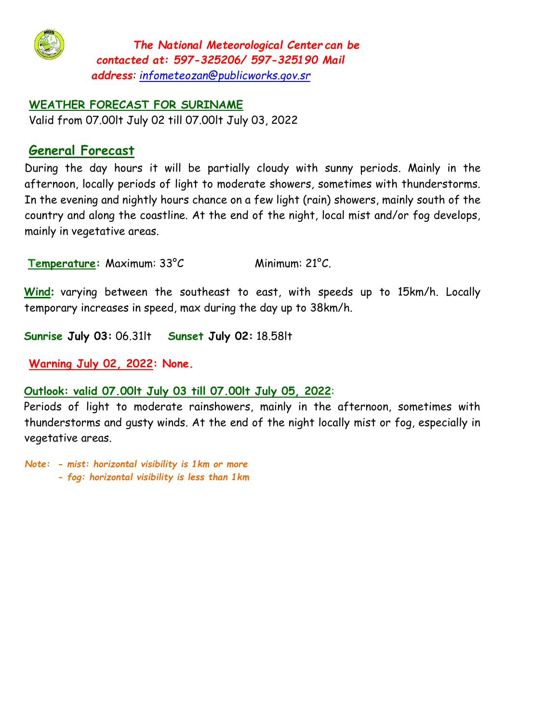

*The National Meteorological Center can be contacted at: 597-325206/ 597-325190 Mail address: infometeozan@publicworks.gov.sr*

#### **WEATHER FORECAST FOR SURINAME**

Valid from 07.00lt July 02 till 07.00lt July 03, 2022

# **General Forecast**

During the day hours it will be partially cloudy with sunny periods. Mainly in the afternoon, locally periods of light to moderate showers, sometimes with thunderstorms. In the evening and nightly hours chance on a few light (rain) showers, mainly south of the country and along the coastline. At the end of the night, local mist and/or fog develops, mainly in vegetative areas.

**Temperature:** Maximum: 33°C Minimum: 21°C.

**Wind:** varying between the southeast to east, with speeds up to 15km/h. Locally temporary increases in speed, max during the day up to 38km/h.

**Sunrise July 03:** 06.31lt **Sunset July 02:** 18.58lt

**Warning July 02, 2022: None.**

#### **Outlook: valid 07.00lt July 03 till 07.00lt July 05, 2022**:

Periods of light to moderate rainshowers, mainly in the afternoon, sometimes with thunderstorms and gusty winds. At the end of the night locally mist or fog, especially in vegetative areas.

*Note: - mist: horizontal visibility is 1km or more* 

*- fog: horizontal visibility is less than 1km*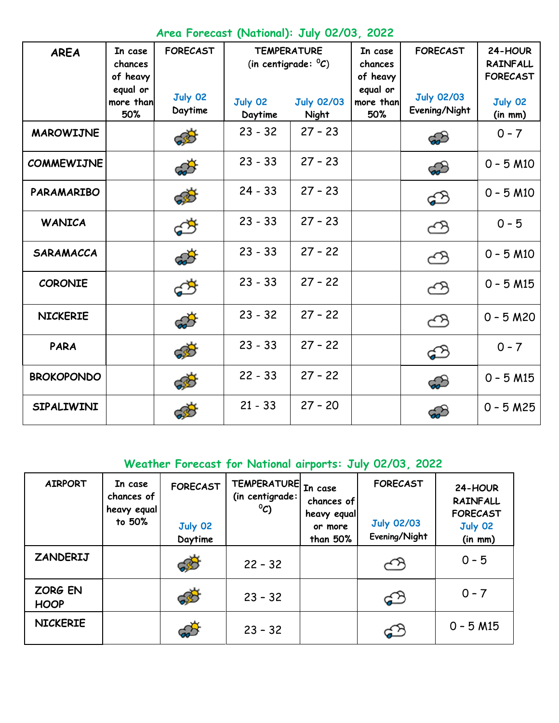|  |  | Area Forecast (National): July 02/03, 2022 |  |  |  |
|--|--|--------------------------------------------|--|--|--|
|--|--|--------------------------------------------|--|--|--|

| <b>AREA</b>       | In case<br>chances<br>of heavy<br>equal or | <b>FORECAST</b>    |                    | <b>TEMPERATURE</b><br>(in centigrade: $^{\circ}C$ ) |                              | <b>FORECAST</b>                    | 24-HOUR<br><b>RAINFALL</b><br><b>FORECAST</b> |
|-------------------|--------------------------------------------|--------------------|--------------------|-----------------------------------------------------|------------------------------|------------------------------------|-----------------------------------------------|
|                   | more than<br>50%                           | July 02<br>Daytime | July 02<br>Daytime | <b>July 02/03</b><br>Night                          | equal or<br>more than<br>50% | <b>July 02/03</b><br>Evening/Night | July 02<br>(in m m)                           |
| <b>MAROWIJNE</b>  |                                            | 630                | $23 - 32$          | $27 - 23$                                           |                              | ය                                  | $0 - 7$                                       |
| <b>COMMEWIJNE</b> |                                            | ක්                 | $23 - 33$          | $27 - 23$                                           |                              | කි                                 | $0 - 5 M10$                                   |
| <b>PARAMARIBO</b> |                                            | 630                | $24 - 33$          | $27 - 23$                                           |                              | ය                                  | $0 - 5 M10$                                   |
| <b>WANICA</b>     |                                            | ඒ                  | $23 - 33$          | $27 - 23$                                           |                              | ඏ                                  | $0 - 5$                                       |
| <b>SARAMACCA</b>  |                                            | ක්                 | $23 - 33$          | $27 - 22$                                           |                              | ඏ                                  | $0 - 5 M10$                                   |
| <b>CORONIE</b>    |                                            | රේ                 | $23 - 33$          | $27 - 22$                                           |                              | ඏ                                  | $0 - 5 M15$                                   |
| <b>NICKERIE</b>   |                                            | ක්                 | $23 - 32$          | $27 - 22$                                           |                              | ඏ                                  | $0 - 5 M20$                                   |
| <b>PARA</b>       |                                            | යුරි               | $23 - 33$          | $27 - 22$                                           |                              | ය                                  | $0 - 7$                                       |
| <b>BROKOPONDO</b> |                                            | 633                | $22 - 33$          | $27 - 22$                                           |                              | ය                                  | $0 - 5 M15$                                   |
| <b>SIPALIWINI</b> |                                            |                    | $21 - 33$          | $27 - 20$                                           |                              |                                    | $0 - 5 M25$                                   |

## **Weather Forecast for National airports: July 02/03, 2022**

| <b>AIRPORT</b>         | In case<br>chances of<br>heavy equal<br>to 50% | <b>FORECAST</b><br>July 02<br>Daytime | TEMPERATURE In case<br>(in centigrade:<br>$^{\circ}C$ | chances of<br>heavy equal<br>or more<br>than 50% | <b>FORECAST</b><br><b>July 02/03</b><br>Evening/Night | 24-HOUR<br><b>RAINFALL</b><br><b>FORECAST</b><br>July 02<br>(in m m) |
|------------------------|------------------------------------------------|---------------------------------------|-------------------------------------------------------|--------------------------------------------------|-------------------------------------------------------|----------------------------------------------------------------------|
| ZANDERIJ               |                                                | 685                                   | $22 - 32$                                             |                                                  | بربہ                                                  | $0 - 5$                                                              |
| ZORG EN<br><b>HOOP</b> |                                                | 655                                   | $23 - 32$                                             |                                                  | ආ                                                     | $0 - 7$                                                              |
| <b>NICKERIE</b>        |                                                |                                       | $23 - 32$                                             |                                                  | \$                                                    | $0 - 5 M15$                                                          |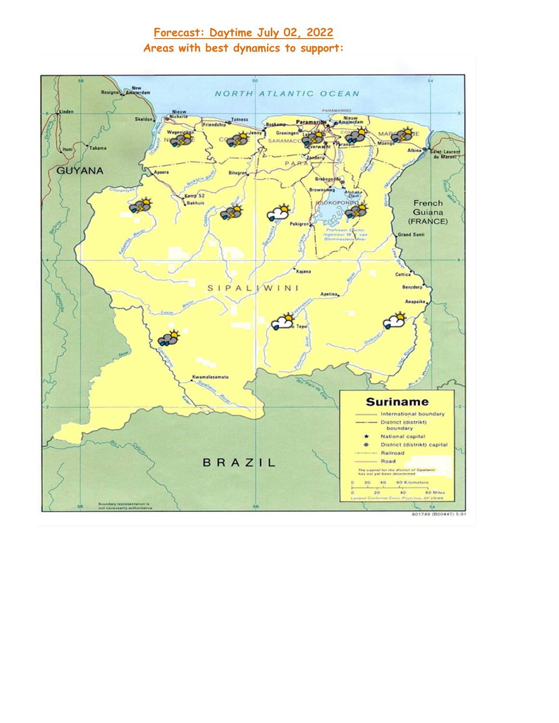# **Forecast: Daytime July 02, 2022 Areas with best dynamics to support:**

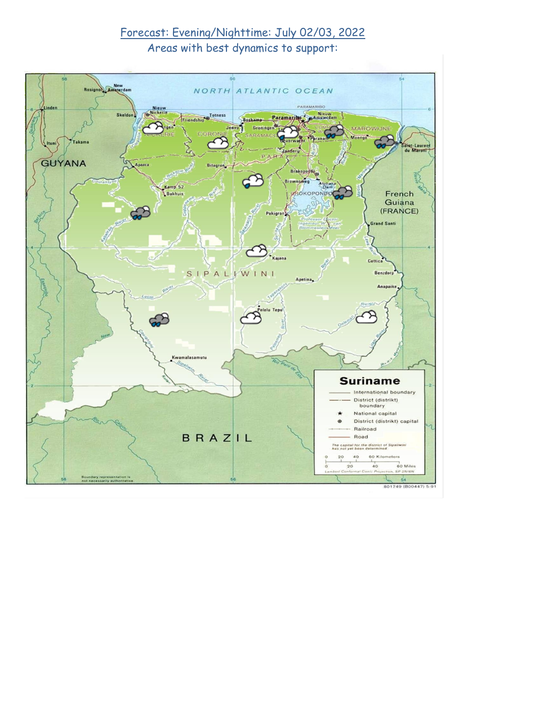# Forecast: Evening/Nighttime: July 02/03, 2022 Areas with best dynamics to support:

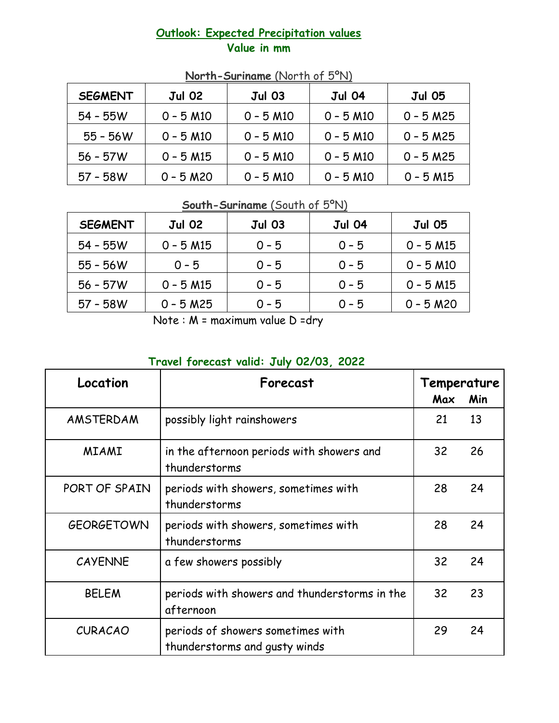#### **Outlook: Expected Precipitation values Value in mm**

| <b>SEGMENT</b> | <b>Jul 02</b>           | <b>Jul 03</b>           | <b>Jul 04</b>           | <b>Jul 05</b> |
|----------------|-------------------------|-------------------------|-------------------------|---------------|
| $54 - 55W$     | $0 - 5 M10$             | $0 - 5 M10$             | $0 - 5 M10$             | $0 - 5 M25$   |
| $55 - 56W$     | $0 - 5$ M <sub>10</sub> | $0 - 5$ M <sub>10</sub> | $0 - 5$ M <sub>10</sub> | $0 - 5 M25$   |
| $56 - 57W$     | $0 - 5$ M15             | $0 - 5$ M <sub>10</sub> | $0 - 5 M10$             | $0 - 5 M25$   |
| $57 - 58W$     | $0 - 5 M20$             | $0 - 5$ M <sub>10</sub> | $0 - 5$ M <sub>10</sub> | $0 - 5 M15$   |

## **North-Suriname** (North of 5ºN)

## **South-Suriname** (South of 5ºN)

| <b>SEGMENT</b> | <b>Jul 02</b> | <b>Jul 03</b> | <b>Jul 04</b> | <b>Jul 05</b>           |
|----------------|---------------|---------------|---------------|-------------------------|
| $54 - 55W$     | $0 - 5 M15$   | $0 - 5$       | $0 - 5$       | $0 - 5$ M15             |
| $55 - 56W$     | $0 - 5$       | $0 - 5$       | $0 - 5$       | $0 - 5$ M <sub>10</sub> |
| $56 - 57W$     | $0 - 5 M15$   | $0 - 5$       | $0 - 5$       | $0 - 5$ M15             |
| $57 - 58W$     | $0 - 5 M25$   | $0 - 5$       | $0 - 5$       | $0 - 5 M20$             |

Note : M = maximum value D =dry

## **Travel forecast valid: July 02/03, 2022**

| Location          | Forecast                                                           | Temperature<br>Max<br>Min |    |
|-------------------|--------------------------------------------------------------------|---------------------------|----|
| AMSTERDAM         | possibly light rainshowers                                         | 21                        | 13 |
| <b>MIAMI</b>      | in the afternoon periods with showers and<br>thunderstorms         | 32                        | 26 |
| PORT OF SPAIN     | periods with showers, sometimes with<br>thunderstorms              | 28                        | 24 |
| <b>GEORGETOWN</b> | periods with showers, sometimes with<br>thunderstorms              | 28                        | 24 |
| <b>CAYENNE</b>    | a few showers possibly                                             | 32                        | 24 |
| <b>BELEM</b>      | periods with showers and thunderstorms in the<br>afternoon         | 32                        | 23 |
| <b>CURACAO</b>    | periods of showers sometimes with<br>thunderstorms and gusty winds | 29                        | 24 |